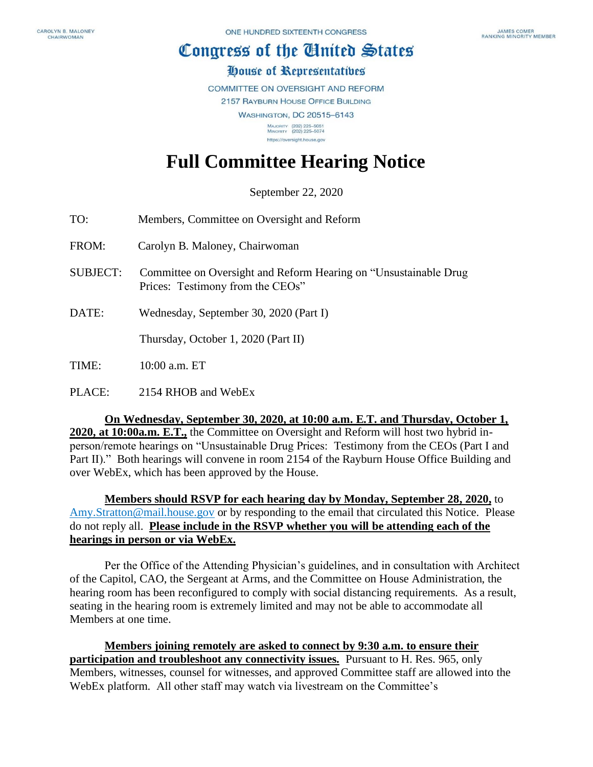## Congress of the Ginited States

## House of Representatives

COMMITTEE ON OVERSIGHT AND REFORM

2157 RAYBURN HOUSE OFFICE BUILDING

**WASHINGTON, DC 20515-6143** MAJORITY (202) 225-5051<br>MINORITY (202) 225-5074

https://oversight.house.gov

## **Full Committee Hearing Notice**

September 22, 2020

| TO:             | Members, Committee on Oversight and Reform                                                           |
|-----------------|------------------------------------------------------------------------------------------------------|
| FROM:           | Carolyn B. Maloney, Chairwoman                                                                       |
| <b>SUBJECT:</b> | Committee on Oversight and Reform Hearing on "Unsustainable Drug<br>Prices: Testimony from the CEOs" |
| DATE:           | Wednesday, September 30, 2020 (Part I)                                                               |
|                 | Thursday, October 1, 2020 (Part II)                                                                  |
| <b>TIME:</b>    | 10:00 a.m. ET                                                                                        |

PLACE: 2154 RHOB and WebEx

**On Wednesday, September 30, 2020, at 10:00 a.m. E.T. and Thursday, October 1, 2020, at 10:00a.m. E.T.,** the Committee on Oversight and Reform will host two hybrid inperson/remote hearings on "Unsustainable Drug Prices: Testimony from the CEOs (Part I and Part II)." Both hearings will convene in room 2154 of the Rayburn House Office Building and over WebEx, which has been approved by the House.

**Members should RSVP for each hearing day by Monday, September 28, 2020,** to [Amy.Stratton@mail.house.gov](mailto:Amy.Stratton@mail.house.gov) or by responding to the email that circulated this Notice. Please do not reply all. **Please include in the RSVP whether you will be attending each of the hearings in person or via WebEx.** 

Per the Office of the Attending Physician's guidelines, and in consultation with Architect of the Capitol, CAO, the Sergeant at Arms, and the Committee on House Administration, the hearing room has been reconfigured to comply with social distancing requirements. As a result, seating in the hearing room is extremely limited and may not be able to accommodate all Members at one time.

**Members joining remotely are asked to connect by 9:30 a.m. to ensure their participation and troubleshoot any connectivity issues.** Pursuant to H. Res. 965, only Members, witnesses, counsel for witnesses, and approved Committee staff are allowed into the WebEx platform. All other staff may watch via livestream on the Committee's